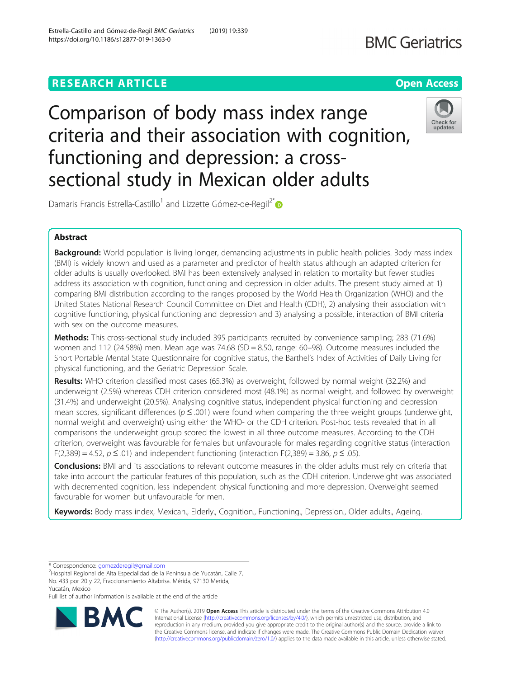# **RESEARCH ARTICLE Example 2014 12:30 The Contract of Contract ACCESS**

# Comparison of body mass index range criteria and their association with cognition, functioning and depression: a crosssectional study in Mexican older adults

# Abstract

Background: World population is living longer, demanding adjustments in public health policies. Body mass index (BMI) is widely known and used as a parameter and predictor of health status although an adapted criterion for older adults is usually overlooked. BMI has been extensively analysed in relation to mortality but fewer studies address its association with cognition, functioning and depression in older adults. The present study aimed at 1) comparing BMI distribution according to the ranges proposed by the World Health Organization (WHO) and the United States National Research Council Committee on Diet and Health (CDH), 2) analysing their association with cognitive functioning, physical functioning and depression and 3) analysing a possible, interaction of BMI criteria with sex on the outcome measures.

Methods: This cross-sectional study included 395 participants recruited by convenience sampling; 283 (71.6%) women and 112 (24.58%) men. Mean age was 74.68 (SD = 8.50, range: 60–98). Outcome measures included the Short Portable Mental State Questionnaire for cognitive status, the Barthel's Index of Activities of Daily Living for physical functioning, and the Geriatric Depression Scale.

Results: WHO criterion classified most cases (65.3%) as overweight, followed by normal weight (32.2%) and underweight (2.5%) whereas CDH criterion considered most (48.1%) as normal weight, and followed by overweight (31.4%) and underweight (20.5%). Analysing cognitive status, independent physical functioning and depression mean scores, significant differences ( $p \le 0.001$ ) were found when comparing the three weight groups (underweight, normal weight and overweight) using either the WHO- or the CDH criterion. Post-hoc tests revealed that in all comparisons the underweight group scored the lowest in all three outcome measures. According to the CDH criterion, overweight was favourable for females but unfavourable for males regarding cognitive status (interaction F(2,389) = 4.52,  $p \le 0.01$ ) and independent functioning (interaction F(2,389) = 3.86,  $p \le 0.05$ ).

**Conclusions:** BMI and its associations to relevant outcome measures in the older adults must rely on criteria that take into account the particular features of this population, such as the CDH criterion. Underweight was associated with decremented cognition, less independent physical functioning and more depression. Overweight seemed favourable for women but unfavourable for men.

Keywords: Body mass index, Mexican., Elderly., Cognition., Functioning., Depression., Older adults., Ageing.

\* Correspondence: [gomezderegil@gmail.com](mailto:gomezderegil@gmail.com) <sup>2</sup>

Damaris Francis Estrella-Castillo<sup>1</sup> and Lizzette Gómez-de-Regil<sup>2\*</sup>



© The Author(s). 2019 Open Access This article is distributed under the terms of the Creative Commons Attribution 4.0 International License [\(http://creativecommons.org/licenses/by/4.0/](http://creativecommons.org/licenses/by/4.0/)), which permits unrestricted use, distribution, and reproduction in any medium, provided you give appropriate credit to the original author(s) and the source, provide a link to the Creative Commons license, and indicate if changes were made. The Creative Commons Public Domain Dedication waiver [\(http://creativecommons.org/publicdomain/zero/1.0/](http://creativecommons.org/publicdomain/zero/1.0/)) applies to the data made available in this article, unless otherwise stated.



<sup>&</sup>lt;sup>2</sup>Hospital Regional de Alta Especialidad de la Península de Yucatán, Calle 7, No. 433 por 20 y 22, Fraccionamiento Altabrisa. Mérida, 97130 Merida, Yucatán, Mexico

Full list of author information is available at the end of the article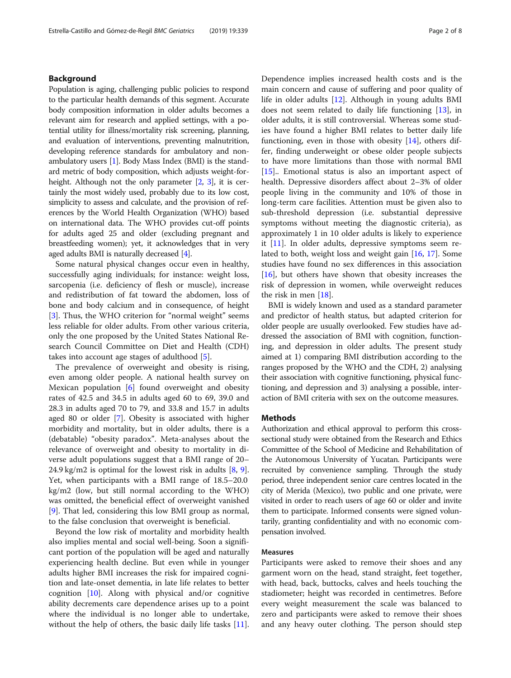# Background

Population is aging, challenging public policies to respond to the particular health demands of this segment. Accurate body composition information in older adults becomes a relevant aim for research and applied settings, with a potential utility for illness/mortality risk screening, planning, and evaluation of interventions, preventing malnutrition, developing reference standards for ambulatory and nonambulatory users [[1](#page-6-0)]. Body Mass Index (BMI) is the standard metric of body composition, which adjusts weight-forheight. Although not the only parameter [[2](#page-6-0), [3](#page-6-0)], it is certainly the most widely used, probably due to its low cost, simplicity to assess and calculate, and the provision of references by the World Health Organization (WHO) based on international data. The WHO provides cut-off points for adults aged 25 and older (excluding pregnant and breastfeeding women); yet, it acknowledges that in very aged adults BMI is naturally decreased [\[4\]](#page-7-0).

Some natural physical changes occur even in healthy, successfully aging individuals; for instance: weight loss, sarcopenia (i.e. deficiency of flesh or muscle), increase and redistribution of fat toward the abdomen, loss of bone and body calcium and in consequence, of height [[3\]](#page-6-0). Thus, the WHO criterion for "normal weight" seems less reliable for older adults. From other various criteria, only the one proposed by the United States National Research Council Committee on Diet and Health (CDH) takes into account age stages of adulthood [[5\]](#page-7-0).

The prevalence of overweight and obesity is rising, even among older people. A national health survey on Mexican population [\[6](#page-7-0)] found overweight and obesity rates of 42.5 and 34.5 in adults aged 60 to 69, 39.0 and 28.3 in adults aged 70 to 79, and 33.8 and 15.7 in adults aged 80 or older [[7\]](#page-7-0). Obesity is associated with higher morbidity and mortality, but in older adults, there is a (debatable) "obesity paradox". Meta-analyses about the relevance of overweight and obesity to mortality in diverse adult populations suggest that a BMI range of 20– 24.9 kg/m2 is optimal for the lowest risk in adults [[8,](#page-7-0) [9](#page-7-0)]. Yet, when participants with a BMI range of 18.5–20.0 kg/m2 (low, but still normal according to the WHO) was omitted, the beneficial effect of overweight vanished [[9\]](#page-7-0). That led, considering this low BMI group as normal, to the false conclusion that overweight is beneficial.

Beyond the low risk of mortality and morbidity health also implies mental and social well-being. Soon a significant portion of the population will be aged and naturally experiencing health decline. But even while in younger adults higher BMI increases the risk for impaired cognition and late-onset dementia, in late life relates to better cognition [[10](#page-7-0)]. Along with physical and/or cognitive ability decrements care dependence arises up to a point where the individual is no longer able to undertake, without the help of others, the basic daily life tasks [\[11](#page-7-0)]. Dependence implies increased health costs and is the main concern and cause of suffering and poor quality of

life in older adults [[12](#page-7-0)]. Although in young adults BMI does not seem related to daily life functioning [\[13\]](#page-7-0), in older adults, it is still controversial. Whereas some studies have found a higher BMI relates to better daily life functioning, even in those with obesity [[14\]](#page-7-0), others differ, finding underweight or obese older people subjects to have more limitations than those with normal BMI [[15\]](#page-7-0).. Emotional status is also an important aspect of health. Depressive disorders affect about 2–3% of older people living in the community and 10% of those in long-term care facilities. Attention must be given also to sub-threshold depression (i.e. substantial depressive symptoms without meeting the diagnostic criteria), as approximately 1 in 10 older adults is likely to experience it [\[11](#page-7-0)]. In older adults, depressive symptoms seem related to both, weight loss and weight gain [[16](#page-7-0), [17](#page-7-0)]. Some studies have found no sex differences in this association [[16\]](#page-7-0), but others have shown that obesity increases the risk of depression in women, while overweight reduces the risk in men [\[18](#page-7-0)].

BMI is widely known and used as a standard parameter and predictor of health status, but adapted criterion for older people are usually overlooked. Few studies have addressed the association of BMI with cognition, functioning, and depression in older adults. The present study aimed at 1) comparing BMI distribution according to the ranges proposed by the WHO and the CDH, 2) analysing their association with cognitive functioning, physical functioning, and depression and 3) analysing a possible, interaction of BMI criteria with sex on the outcome measures.

# **Methods**

Authorization and ethical approval to perform this crosssectional study were obtained from the Research and Ethics Committee of the School of Medicine and Rehabilitation of the Autonomous University of Yucatan. Participants were recruited by convenience sampling. Through the study period, three independent senior care centres located in the city of Merida (Mexico), two public and one private, were visited in order to reach users of age 60 or older and invite them to participate. Informed consents were signed voluntarily, granting confidentiality and with no economic compensation involved.

#### Measures

Participants were asked to remove their shoes and any garment worn on the head, stand straight, feet together, with head, back, buttocks, calves and heels touching the stadiometer; height was recorded in centimetres. Before every weight measurement the scale was balanced to zero and participants were asked to remove their shoes and any heavy outer clothing. The person should step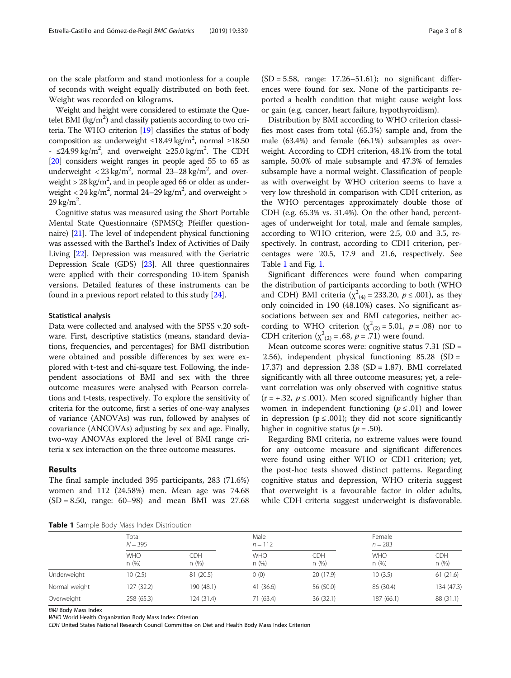on the scale platform and stand motionless for a couple of seconds with weight equally distributed on both feet. Weight was recorded on kilograms.

Weight and height were considered to estimate the Quetelet BMI  $\left({\rm kg/m^{2}}\right)$  and classify patients according to two criteria. The WHO criterion [\[19\]](#page-7-0) classifies the status of body composition as: underweight  $\leq$ 18.49 kg/m<sup>2</sup>, normal  $\geq$ 18.50 - ≤24.99 kg/m<sup>2</sup>, and overweight ≥25.0 kg/m<sup>2</sup>. The CDH [[20](#page-7-0)] considers weight ranges in people aged 55 to 65 as underweight  $<$  23 kg/m<sup>2</sup>, normal 23–28 kg/m<sup>2</sup>, and overweight >  $28 \text{ kg/m}^2$ , and in people aged 66 or older as underweight  $<$  24 kg/m<sup>2</sup>, normal 24–29 kg/m<sup>2</sup>, and overweight  $>$  $29 \text{ kg/m}^2$ .

Cognitive status was measured using the Short Portable Mental State Questionnaire (SPMSQ; Pfeiffer questionnaire) [\[21\]](#page-7-0). The level of independent physical functioning was assessed with the Barthel's Index of Activities of Daily Living [\[22](#page-7-0)]. Depression was measured with the Geriatric Depression Scale (GDS) [[23](#page-7-0)]. All three questionnaires were applied with their corresponding 10-item Spanish versions. Detailed features of these instruments can be found in a previous report related to this study [[24\]](#page-7-0).

#### Statistical analysis

Data were collected and analysed with the SPSS v.20 software. First, descriptive statistics (means, standard deviations, frequencies, and percentages) for BMI distribution were obtained and possible differences by sex were explored with t-test and chi-square test. Following, the independent associations of BMI and sex with the three outcome measures were analysed with Pearson correlations and t-tests, respectively. To explore the sensitivity of criteria for the outcome, first a series of one-way analyses of variance (ANOVAs) was run, followed by analyses of covariance (ANCOVAs) adjusting by sex and age. Finally, two-way ANOVAs explored the level of BMI range criteria x sex interaction on the three outcome measures.

## Results

The final sample included 395 participants, 283 (71.6%) women and 112 (24.58%) men. Mean age was 74.68  $(SD = 8.50, \text{ range: } 60-98)$  and mean BMI was 27.68

 $(SD = 5.58$ , range: 17.26–51.61); no significant differences were found for sex. None of the participants reported a health condition that might cause weight loss or gain (e.g. cancer, heart failure, hypothyroidism).

Distribution by BMI according to WHO criterion classifies most cases from total (65.3%) sample and, from the male (63.4%) and female (66.1%) subsamples as overweight. According to CDH criterion, 48.1% from the total sample, 50.0% of male subsample and 47.3% of females subsample have a normal weight. Classification of people as with overweight by WHO criterion seems to have a very low threshold in comparison with CDH criterion, as the WHO percentages approximately double those of CDH (e.g. 65.3% vs. 31.4%). On the other hand, percentages of underweight for total, male and female samples, according to WHO criterion, were 2.5, 0.0 and 3.5, respectively. In contrast, according to CDH criterion, percentages were 20.5, 17.9 and 21.6, respectively. See Table 1 and Fig. [1](#page-3-0).

Significant differences were found when comparing the distribution of participants according to both (WHO and CDH) BMI criteria ( $\chi^2_{(4)} = 233.20$ ,  $p \le .001$ ), as they only coincided in 190 (48.10%) cases. No significant associations between sex and BMI categories, neither according to WHO criterion ( $\chi^2_{(2)} = 5.01$ ,  $p = .08$ ) nor to CDH criterion ( $\chi^2_{(2)} = .68$ ,  $p = .71$ ) were found.

Mean outcome scores were: cognitive status  $7.31$  (SD = 2.56), independent physical functioning 85.28 (SD = 17.37) and depression  $2.38$  (SD = 1.87). BMI correlated significantly with all three outcome measures; yet, a relevant correlation was only observed with cognitive status  $(r = +0.32, p \le 0.001)$ . Men scored significantly higher than women in independent functioning ( $p \leq .01$ ) and lower in depression ( $p \le 0.001$ ); they did not score significantly higher in cognitive status ( $p = .50$ ).

Regarding BMI criteria, no extreme values were found for any outcome measure and significant differences were found using either WHO or CDH criterion; yet, the post-hoc tests showed distinct patterns. Regarding cognitive status and depression, WHO criteria suggest that overweight is a favourable factor in older adults, while CDH criteria suggest underweight is disfavorable.

Table 1 Sample Body Mass Index Distribution

|               | Total<br>$N = 395$ |             | Male<br>$n = 112$  |             | Female<br>$n = 283$ |                    |
|---------------|--------------------|-------------|--------------------|-------------|---------------------|--------------------|
|               | <b>WHO</b><br>n(%) | CDH<br>n(%) | <b>WHO</b><br>n(%) | CDH<br>n(%) | <b>WHO</b><br>n(%)  | <b>CDH</b><br>n(%) |
| Underweight   | 10(2.5)            | 81 (20.5)   | (0)                | 20 (17.9)   | 10(3.5)             | 61(21.6)           |
| Normal weight | 127 (32.2)         | 190 (48.1)  | 41 (36.6)          | 56 (50.0)   | 86 (30.4)           | 134 (47.3)         |
| Overweight    | 258 (65.3)         | 124 (31.4)  | 71 (63.4)          | 36(32.1)    | 187 (66.1)          | 88 (31.1)          |

BMI Body Mass Index

WHO World Health Organization Body Mass Index Criterion

CDH United States National Research Council Committee on Diet and Health Body Mass Index Criterion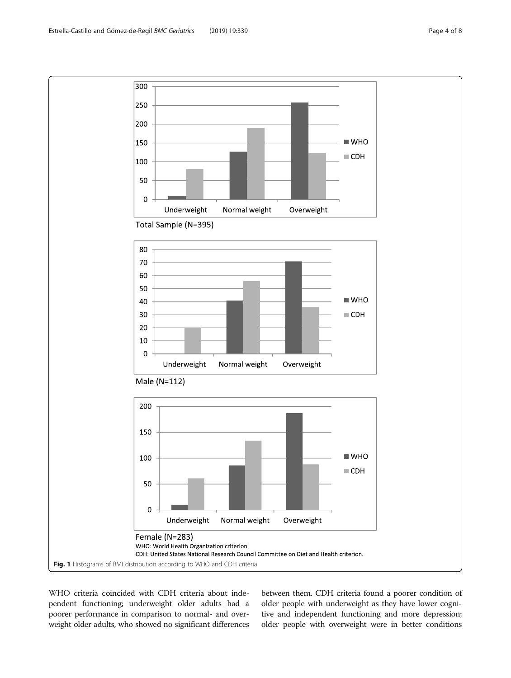<span id="page-3-0"></span>

WHO criteria coincided with CDH criteria about independent functioning; underweight older adults had a poorer performance in comparison to normal- and overweight older adults, who showed no significant differences between them. CDH criteria found a poorer condition of older people with underweight as they have lower cognitive and independent functioning and more depression; older people with overweight were in better conditions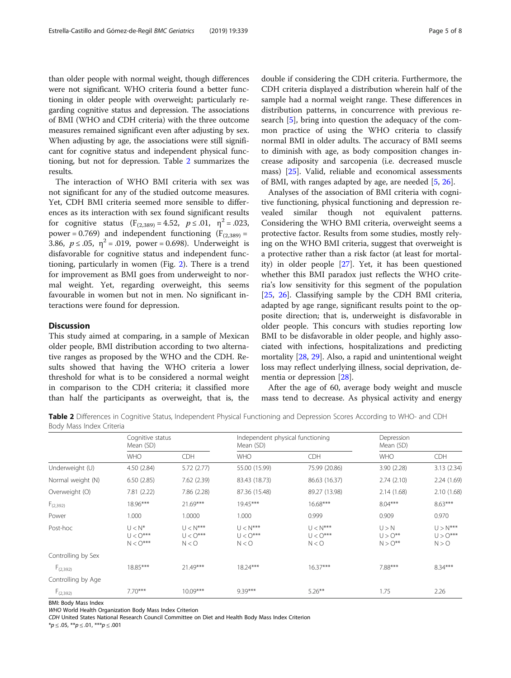than older people with normal weight, though differences were not significant. WHO criteria found a better functioning in older people with overweight; particularly regarding cognitive status and depression. The associations of BMI (WHO and CDH criteria) with the three outcome measures remained significant even after adjusting by sex. When adjusting by age, the associations were still significant for cognitive status and independent physical functioning, but not for depression. Table 2 summarizes the results.

The interaction of WHO BMI criteria with sex was not significant for any of the studied outcome measures. Yet, CDH BMI criteria seemed more sensible to differences as its interaction with sex found significant results for cognitive status  $(F_{(2,389)} = 4.52, p \le .01, \eta^2 = .023,$ power = 0.769) and independent functioning  $(F_{(2,389)} =$ 3.86,  $p \le 0.05$ ,  $\eta^2 = 0.019$ , power = 0.698). Underweight is disfavorable for cognitive status and independent functioning, particularly in women (Fig. [2](#page-5-0)). There is a trend for improvement as BMI goes from underweight to normal weight. Yet, regarding overweight, this seems favourable in women but not in men. No significant interactions were found for depression.

## **Discussion**

This study aimed at comparing, in a sample of Mexican older people, BMI distribution according to two alternative ranges as proposed by the WHO and the CDH. Results showed that having the WHO criteria a lower threshold for what is to be considered a normal weight in comparison to the CDH criteria; it classified more than half the participants as overweight, that is, the double if considering the CDH criteria. Furthermore, the CDH criteria displayed a distribution wherein half of the sample had a normal weight range. These differences in distribution patterns, in concurrence with previous research [\[5](#page-7-0)], bring into question the adequacy of the common practice of using the WHO criteria to classify normal BMI in older adults. The accuracy of BMI seems to diminish with age, as body composition changes increase adiposity and sarcopenia (i.e. decreased muscle mass) [[25\]](#page-7-0). Valid, reliable and economical assessments of BMI, with ranges adapted by age, are needed [[5,](#page-7-0) [26](#page-7-0)].

Analyses of the association of BMI criteria with cognitive functioning, physical functioning and depression revealed similar though not equivalent patterns. Considering the WHO BMI criteria, overweight seems a protective factor. Results from some studies, mostly relying on the WHO BMI criteria, suggest that overweight is a protective rather than a risk factor (at least for mortality) in older people [\[27\]](#page-7-0). Yet, it has been questioned whether this BMI paradox just reflects the WHO criteria's low sensitivity for this segment of the population [[25,](#page-7-0) [26](#page-7-0)]. Classifying sample by the CDH BMI criteria, adapted by age range, significant results point to the opposite direction; that is, underweight is disfavorable in older people. This concurs with studies reporting low BMI to be disfavorable in older people, and highly associated with infections, hospitalizations and predicting mortality [\[28,](#page-7-0) [29\]](#page-7-0). Also, a rapid and unintentional weight loss may reflect underlying illness, social deprivation, dementia or depression [\[28\]](#page-7-0).

After the age of 60, average body weight and muscle mass tend to decrease. As physical activity and energy

Table 2 Differences in Cognitive Status, Independent Physical Functioning and Depression Scores According to WHO- and CDH Body Mass Index Criteria

|                    | Cognitive status<br>Mean (SD)         |                                   | Independent physical functioning<br>Mean (SD) |                                   | Depression<br>Mean (SD)               |                                   |
|--------------------|---------------------------------------|-----------------------------------|-----------------------------------------------|-----------------------------------|---------------------------------------|-----------------------------------|
|                    | <b>WHO</b>                            | <b>CDH</b>                        | <b>WHO</b>                                    | CDH                               | <b>WHO</b>                            | CDH                               |
| Underweight (U)    | 4.50 (2.84)                           | 5.72(2.77)                        | 55.00 (15.99)                                 | 75.99 (20.86)                     | 3.90(2.28)                            | 3.13 (2.34)                       |
| Normal weight (N)  | 6.50(2.85)                            | 7.62(2.39)                        | 83.43 (18.73)                                 | 86.63 (16.37)                     | 2.74(2.10)                            | 2.24 (1.69)                       |
| Overweight (O)     | 7.81(2.22)                            | 7.86 (2.28)                       | 87.36 (15.48)                                 | 89.27 (13.98)                     | 2.14(1.68)                            | 2.10(1.68)                        |
| $F_{(2,392)}$      | 18.96***                              | $21.69***$                        | $19.45***$                                    | $16.68***$                        | $8.04***$                             | $8.63***$                         |
| Power              | 1.000                                 | 1.0000                            | 1.000                                         | 0.999                             | 0.909                                 | 0.970                             |
| Post-hoc           | $U < N^*$<br>$U < O***$<br>$N < O***$ | $U < N***$<br>$U < O***$<br>N < 0 | $U < N***$<br>$U < O***$<br>N < 0             | $U < N***$<br>$U < O***$<br>N < 0 | U > N<br>$U > O^{**}$<br>$N > O^{**}$ | $U > N***$<br>$U > O***$<br>N > 0 |
| Controlling by Sex |                                       |                                   |                                               |                                   |                                       |                                   |
| $F_{(2,392)}$      | 18.85***                              | $21.49***$                        | 18.24***                                      | $16.37***$                        | 7.88***                               | $8.34***$                         |
| Controlling by Age |                                       |                                   |                                               |                                   |                                       |                                   |
| $F_{(2,392)}$      | $7.70***$                             | $10.09***$                        | $9.39***$                                     | $5.26***$                         | 1.75                                  | 2.26                              |

BMI: Body Mass Index

WHO World Health Organization Body Mass Index Criterion

CDH United States National Research Council Committee on Diet and Health Body Mass Index Criterion

 $**p* \le .05, ***p* \le .01, ****p* \le .001$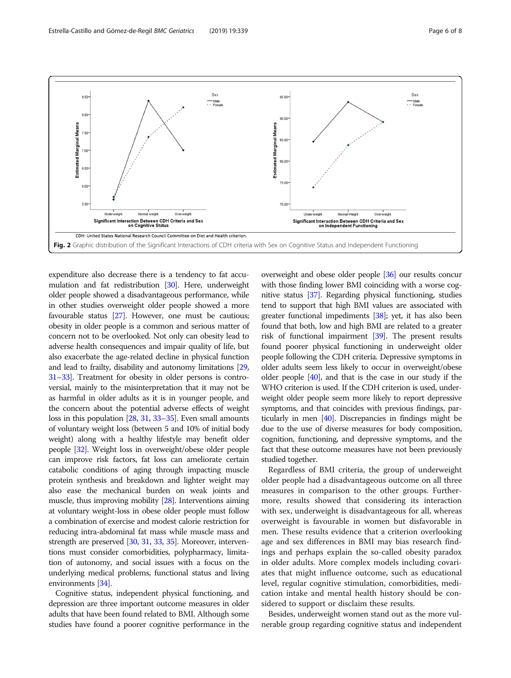<span id="page-5-0"></span>

expenditure also decrease there is a tendency to fat accumulation and fat redistribution [[30](#page-7-0)]. Here, underweight older people showed a disadvantageous performance, while in other studies overweight older people showed a more favourable status [[27](#page-7-0)]. However, one must be cautious; obesity in older people is a common and serious matter of concern not to be overlooked. Not only can obesity lead to adverse health consequences and impair quality of life, but also exacerbate the age-related decline in physical function and lead to frailty, disability and autonomy limitations [\[29](#page-7-0), [31](#page-7-0)–[33](#page-7-0)]. Treatment for obesity in older persons is controversial, mainly to the misinterpretation that it may not be as harmful in older adults as it is in younger people, and the concern about the potential adverse effects of weight loss in this population [[28](#page-7-0), [31](#page-7-0), [33](#page-7-0)–[35\]](#page-7-0). Even small amounts of voluntary weight loss (between 5 and 10% of initial body weight) along with a healthy lifestyle may benefit older people [\[32\]](#page-7-0). Weight loss in overweight/obese older people can improve risk factors, fat loss can ameliorate certain catabolic conditions of aging through impacting muscle protein synthesis and breakdown and lighter weight may also ease the mechanical burden on weak joints and muscle, thus improving mobility [\[28\]](#page-7-0). Interventions aiming at voluntary weight-loss in obese older people must follow a combination of exercise and modest calorie restriction for reducing intra-abdominal fat mass while muscle mass and strength are preserved [[30,](#page-7-0) [31](#page-7-0), [33,](#page-7-0) [35](#page-7-0)]. Moreover, interventions must consider comorbidities, polypharmacy, limitation of autonomy, and social issues with a focus on the underlying medical problems, functional status and living environments [\[34\]](#page-7-0).

Cognitive status, independent physical functioning, and depression are three important outcome measures in older adults that have been found related to BMI. Although some studies have found a poorer cognitive performance in the

overweight and obese older people [[36](#page-7-0)] our results concur with those finding lower BMI coinciding with a worse cognitive status [\[37](#page-7-0)]. Regarding physical functioning, studies tend to support that high BMI values are associated with greater functional impediments [[38](#page-7-0)]; yet, it has also been found that both, low and high BMI are related to a greater risk of functional impairment [\[39\]](#page-7-0). The present results found poorer physical functioning in underweight older people following the CDH criteria. Depressive symptoms in older adults seem less likely to occur in overweight/obese older people [\[40\]](#page-7-0), and that is the case in our study if the WHO criterion is used. If the CDH criterion is used, underweight older people seem more likely to report depressive symptoms, and that coincides with previous findings, particularly in men [\[40\]](#page-7-0). Discrepancies in findings might be due to the use of diverse measures for body composition, cognition, functioning, and depressive symptoms, and the fact that these outcome measures have not been previously studied together.

Regardless of BMI criteria, the group of underweight older people had a disadvantageous outcome on all three measures in comparison to the other groups. Furthermore, results showed that considering its interaction with sex, underweight is disadvantageous for all, whereas overweight is favourable in women but disfavorable in men. These results evidence that a criterion overlooking age and sex differences in BMI may bias research findings and perhaps explain the so-called obesity paradox in older adults. More complex models including covariates that might influence outcome, such as educational level, regular cognitive stimulation, comorbidities, medication intake and mental health history should be considered to support or disclaim these results.

Besides, underweight women stand out as the more vulnerable group regarding cognitive status and independent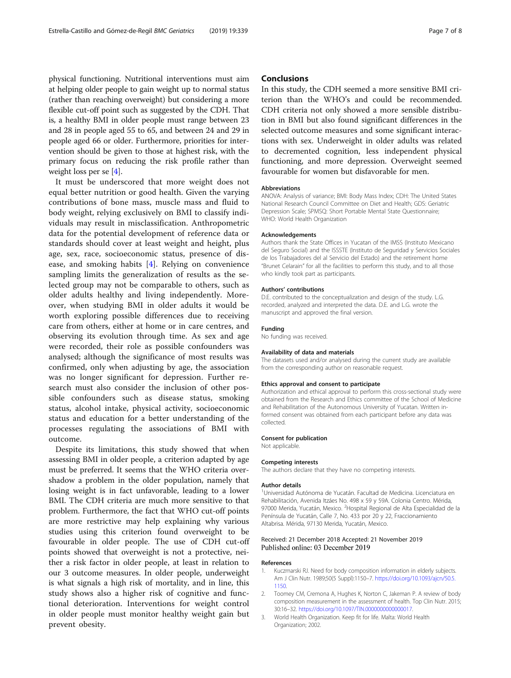<span id="page-6-0"></span>physical functioning. Nutritional interventions must aim at helping older people to gain weight up to normal status (rather than reaching overweight) but considering a more flexible cut-off point such as suggested by the CDH. That is, a healthy BMI in older people must range between 23 and 28 in people aged 55 to 65, and between 24 and 29 in people aged 66 or older. Furthermore, priorities for intervention should be given to those at highest risk, with the primary focus on reducing the risk profile rather than weight loss per se [[4\]](#page-7-0).

It must be underscored that more weight does not equal better nutrition or good health. Given the varying contributions of bone mass, muscle mass and fluid to body weight, relying exclusively on BMI to classify individuals may result in misclassification. Anthropometric data for the potential development of reference data or standards should cover at least weight and height, plus age, sex, race, socioeconomic status, presence of disease, and smoking habits [\[4](#page-7-0)]. Relying on convenience sampling limits the generalization of results as the selected group may not be comparable to others, such as older adults healthy and living independently. Moreover, when studying BMI in older adults it would be worth exploring possible differences due to receiving care from others, either at home or in care centres, and observing its evolution through time. As sex and age were recorded, their role as possible confounders was analysed; although the significance of most results was confirmed, only when adjusting by age, the association was no longer significant for depression. Further research must also consider the inclusion of other possible confounders such as disease status, smoking status, alcohol intake, physical activity, socioeconomic status and education for a better understanding of the processes regulating the associations of BMI with outcome.

Despite its limitations, this study showed that when assessing BMI in older people, a criterion adapted by age must be preferred. It seems that the WHO criteria overshadow a problem in the older population, namely that losing weight is in fact unfavorable, leading to a lower BMI. The CDH criteria are much more sensitive to that problem. Furthermore, the fact that WHO cut-off points are more restrictive may help explaining why various studies using this criterion found overweight to be favourable in older people. The use of CDH cut-off points showed that overweight is not a protective, neither a risk factor in older people, at least in relation to our 3 outcome measures. In older people, underweight is what signals a high risk of mortality, and in line, this study shows also a higher risk of cognitive and functional deterioration. Interventions for weight control in older people must monitor healthy weight gain but prevent obesity.

# **Conclusions**

In this study, the CDH seemed a more sensitive BMI criterion than the WHO's and could be recommended. CDH criteria not only showed a more sensible distribution in BMI but also found significant differences in the selected outcome measures and some significant interactions with sex. Underweight in older adults was related to decremented cognition, less independent physical functioning, and more depression. Overweight seemed favourable for women but disfavorable for men.

#### Abbreviations

ANOVA: Analysis of variance; BMI: Body Mass Index; CDH: The United States National Research Council Committee on Diet and Health; GDS: Geriatric Depression Scale; SPMSQ: Short Portable Mental State Questionnaire; WHO: World Health Organization

#### Acknowledgements

Authors thank the State Offices in Yucatan of the IMSS (Instituto Mexicano del Seguro Social) and the ISSSTE (Instituto de Seguridad y Servicios Sociales de los Trabajadores del al Servicio del Estado) and the retirement home "Brunet Celarain" for all the facilities to perform this study, and to all those who kindly took part as participants.

#### Authors' contributions

D.E. contributed to the conceptualization and design of the study. L.G. recorded, analyzed and interpreted the data. D.E. and L.G. wrote the manuscript and approved the final version.

#### Funding

No funding was received.

#### Availability of data and materials

The datasets used and/or analysed during the current study are available from the corresponding author on reasonable request.

#### Ethics approval and consent to participate

Authorization and ethical approval to perform this cross-sectional study were obtained from the Research and Ethics committee of the School of Medicine and Rehabilitation of the Autonomous University of Yucatan. Written informed consent was obtained from each participant before any data was collected.

# Consent for publication

Not applicable.

#### Competing interests

The authors declare that they have no competing interests.

#### Author details

<sup>1</sup> Universidad Autónoma de Yucatán. Facultad de Medicina. Licenciatura en Rehabilitación, Avenida Itzáes No. 498 x 59 y 59A. Colonia Centro. Mérida, 97000 Merida, Yucatán, Mexico. <sup>2</sup>Hospital Regional de Alta Especialidad de la Península de Yucatán, Calle 7, No. 433 por 20 y 22, Fraccionamiento Altabrisa. Mérida, 97130 Merida, Yucatán, Mexico.

#### Received: 21 December 2018 Accepted: 21 November 2019 Published online: 03 December 2019

#### References

- 1. Kuczmarski RJ. Need for body composition information in elderly subjects. Am J Clin Nutr. 1989;50(5 Suppl):1150–7. [https://doi.org/10.1093/ajcn/50.5.](https://doi.org/10.1093/ajcn/50.5.1150) [1150](https://doi.org/10.1093/ajcn/50.5.1150).
- 2. Toomey CM, Cremona A, Hughes K, Norton C, Jakeman P. A review of body composition measurement in the assessment of health. Top Clin Nutr. 2015; 30:16–32. [https://doi.org/10.1097/TIN.0000000000000017.](https://doi.org/10.1097/TIN.0000000000000017)
- 3. World Health Organization. Keep fit for life. Malta: World Health Organization; 2002.